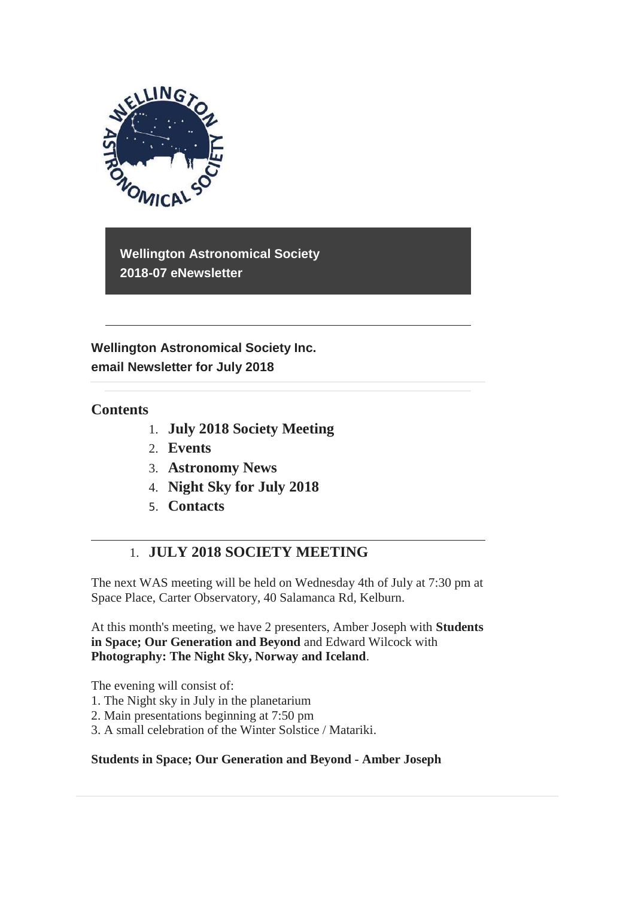

**Wellington Astronomical Society 2018-07 eNewsletter**

**Wellington Astronomical Society Inc. email Newsletter for July 2018** 

## **Contents**

- 1. **July 2018 Society Meeting**
- 2. **Events**
- 3. **Astronomy News**
- 4. **Night Sky for July 2018**
- 5. **Contacts**

# 1. **JULY 2018 SOCIETY MEETING**

The next WAS meeting will be held on Wednesday 4th of July at 7:30 pm at Space Place, Carter Observatory, 40 Salamanca Rd, Kelburn.

At this month's meeting, we have 2 presenters, Amber Joseph with **Students in Space; Our Generation and Beyond** and Edward Wilcock with **Photography: The Night Sky, Norway and Iceland**.

The evening will consist of:

- 1. The Night sky in July in the planetarium
- 2. Main presentations beginning at 7:50 pm
- 3. A small celebration of the Winter Solstice / Matariki.

### **Students in Space; Our Generation and Beyond - Amber Joseph**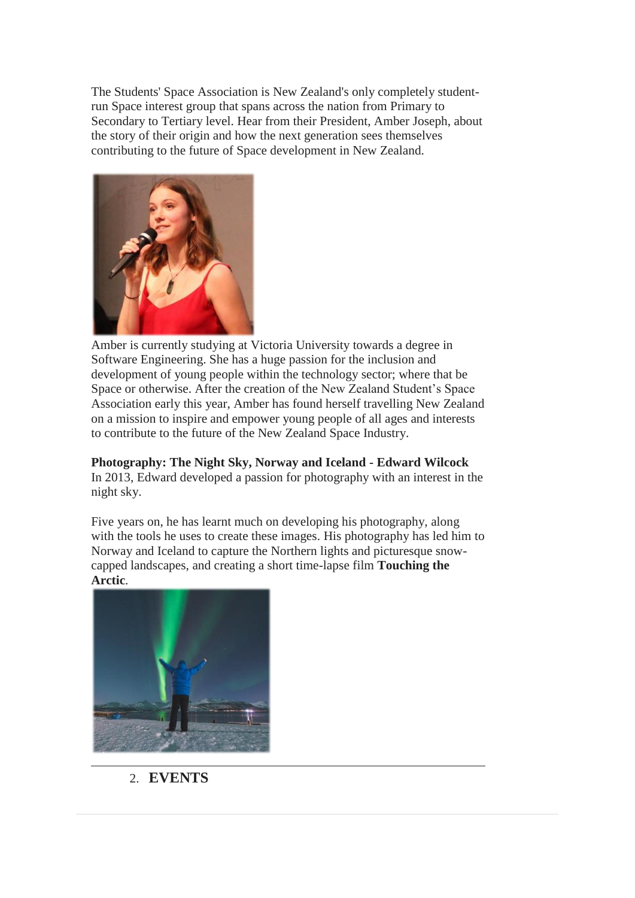The Students' Space Association is New Zealand's only completely studentrun Space interest group that spans across the nation from Primary to Secondary to Tertiary level. Hear from their President, Amber Joseph, about the story of their origin and how the next generation sees themselves contributing to the future of Space development in New Zealand.



Amber is currently studying at Victoria University towards a degree in Software Engineering. She has a huge passion for the inclusion and development of young people within the technology sector; where that be Space or otherwise. After the creation of the New Zealand Student's Space Association early this year, Amber has found herself travelling New Zealand on a mission to inspire and empower young people of all ages and interests to contribute to the future of the New Zealand Space Industry.

**Photography: The Night Sky, Norway and Iceland - Edward Wilcock** In 2013, Edward developed a passion for photography with an interest in the night sky.

Five years on, he has learnt much on developing his photography, along with the tools he uses to create these images. His photography has led him to Norway and Iceland to capture the Northern lights and picturesque snowcapped landscapes, and creating a short time-lapse film **Touching the Arctic**.



2. **EVENTS**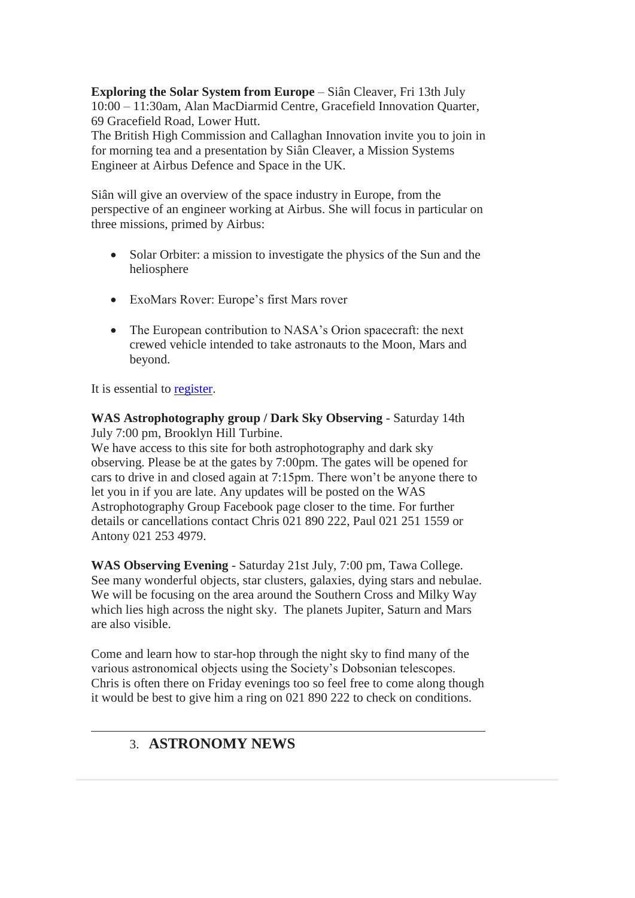**Exploring the Solar System from Europe** – Siân Cleaver, Fri 13th July 10:00 – 11:30am, Alan MacDiarmid Centre, Gracefield Innovation Quarter, 69 Gracefield Road, Lower Hutt.

The British High Commission and Callaghan Innovation invite you to join in for morning tea and a presentation by Siân Cleaver, a Mission Systems Engineer at Airbus Defence and Space in the UK.

Siân will give an overview of the space industry in Europe, from the perspective of an engineer working at Airbus. She will focus in particular on three missions, primed by Airbus:

- Solar Orbiter: a mission to investigate the physics of the Sun and the heliosphere
- ExoMars Rover: Europe's first Mars rover
- The European contribution to NASA's Orion spacecraft: the next crewed vehicle intended to take astronauts to the Moon, Mars and beyond.

It is essential to [register.](https://www.eventbrite.co.nz/e/exploring-the-solar-system-from-europe-tickets-47245482510)

**WAS Astrophotography group / Dark Sky Observing** - Saturday 14th July 7:00 pm, Brooklyn Hill Turbine.

We have access to this site for both astrophotography and dark sky observing. Please be at the gates by 7:00pm. The gates will be opened for cars to drive in and closed again at 7:15pm. There won't be anyone there to let you in if you are late. Any updates will be posted on the WAS Astrophotography Group Facebook page closer to the time. For further details or cancellations contact Chris 021 890 222, Paul 021 251 1559 or Antony 021 253 4979.

**WAS Observing Evening** - Saturday 21st July, 7:00 pm, Tawa College. See many wonderful objects, star clusters, galaxies, dying stars and nebulae. We will be focusing on the area around the Southern Cross and Milky Way which lies high across the night sky. The planets Jupiter, Saturn and Mars are also visible.

Come and learn how to star-hop through the night sky to find many of the various astronomical objects using the Society's Dobsonian telescopes. Chris is often there on Friday evenings too so feel free to come along though it would be best to give him a ring on 021 890 222 to check on conditions.

# 3. **ASTRONOMY NEWS**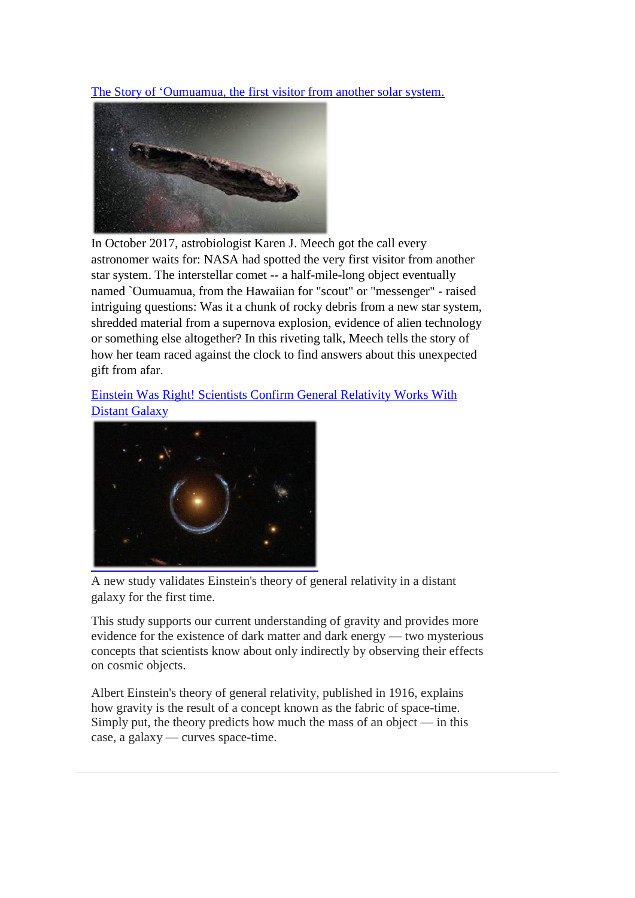[The Story of 'Oumuamua, the first visitor from another solar system.](https://www.ted.com/talks/karen_j_meech_the_story_of_oumuamua_the_first_visitor_from_another_star_system?utm_source=newsletter_weekly_2018-06-30&utm_campaign=newsletter_weekly&utm_medium=email&utm_content=talk_of_the_week_button)



In October 2017, astrobiologist Karen J. Meech got the call every astronomer waits for: NASA had spotted the very first visitor from another star system. The interstellar comet -- a half-mile-long object eventually named `Oumuamua, from the Hawaiian for "scout" or "messenger" - raised intriguing questions: Was it a chunk of rocky debris from a new star system, shredded material from a supernova explosion, evidence of alien technology or something else altogether? In this riveting talk, Meech tells the story of how her team raced against the clock to find answers about this unexpected gift from afar.

## [Einstein Was Right! Scientists Confirm General Relativity Works With](https://www.space.com/40958-einstein-general-relativity-test-distant-galaxy.html) [Distant Galaxy](https://www.space.com/40958-einstein-general-relativity-test-distant-galaxy.html)



A new study validates Einstein's theory of general relativity in a distant galaxy for the first time.

This study supports our current understanding of gravity and provides more evidence for the existence of dark matter and dark energy — two mysterious concepts that scientists know about only indirectly by observing their effects on cosmic objects.

Albert Einstein's theory of general relativity, published in 1916, explains how gravity is the result of a concept known as the fabric of space-time. Simply put, the theory predicts how much the mass of an object  $-$  in this case, a galaxy — curves space-time.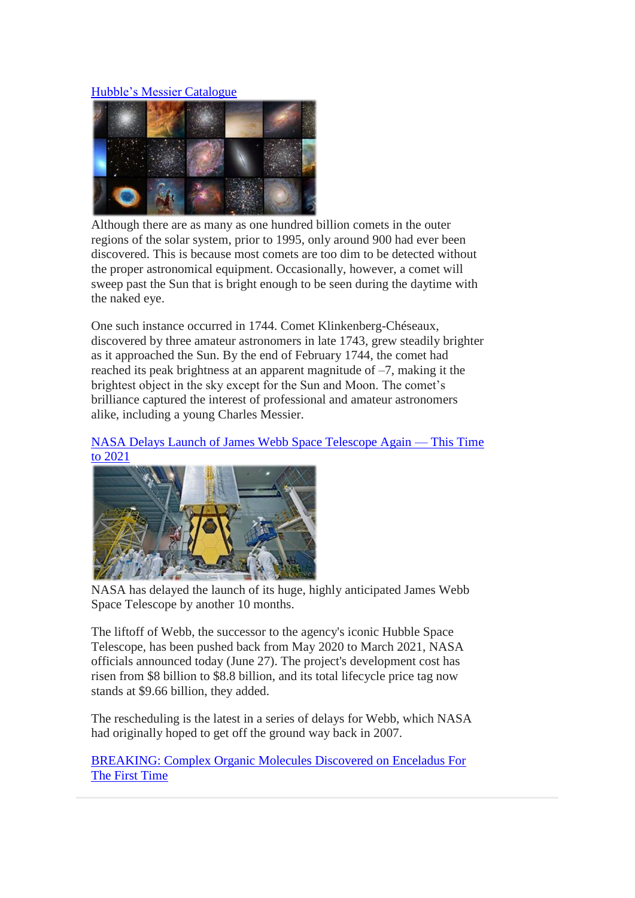### [Hubble's Messier Catalogue](https://www.nasa.gov/content/goddard/hubble-s-messier-catalog)



Although there are as many as one hundred billion comets in the outer regions of the solar system, prior to 1995, only around 900 had ever been discovered. This is because most comets are too dim to be detected without the proper astronomical equipment. Occasionally, however, a comet will sweep past the Sun that is bright enough to be seen during the daytime with the naked eye.

One such instance occurred in 1744. Comet Klinkenberg-Chéseaux, discovered by three amateur astronomers in late 1743, grew steadily brighter as it approached the Sun. By the end of February 1744, the comet had reached its peak brightness at an apparent magnitude of –7, making it the brightest object in the sky except for the Sun and Moon. The comet's brilliance captured the interest of professional and amateur astronomers alike, including a young Charles Messier.

#### [NASA Delays Launch of James Webb Space Telescope Again —](https://www.space.com/41016-nasa-delays-james-webb-space-telescope-2021.html?utm_content=buffered77a&utm_medium=social&utm_source=facebook) This Time [to 2021](https://www.space.com/41016-nasa-delays-james-webb-space-telescope-2021.html?utm_content=buffered77a&utm_medium=social&utm_source=facebook)



NASA has delayed the launch of its huge, highly anticipated James Webb Space Telescope by another 10 months.

The liftoff of Webb, the successor to the agency's iconic Hubble Space Telescope, has been pushed back from May 2020 to March 2021, NASA officials announced today (June 27). The project's development cost has risen from \$8 billion to \$8.8 billion, and its total lifecycle price tag now stands at \$9.66 billion, they added.

The rescheduling is the latest in a series of delays for Webb, which NASA had originally hoped to get off the ground way back in 2007.

[BREAKING: Complex Organic Molecules Discovered on Enceladus For](https://www.sciencealert.com/complex-organic-molecules-detected-enceladus-plumes-cassini-extraterrestrial-life)  [The First Time](https://www.sciencealert.com/complex-organic-molecules-detected-enceladus-plumes-cassini-extraterrestrial-life)